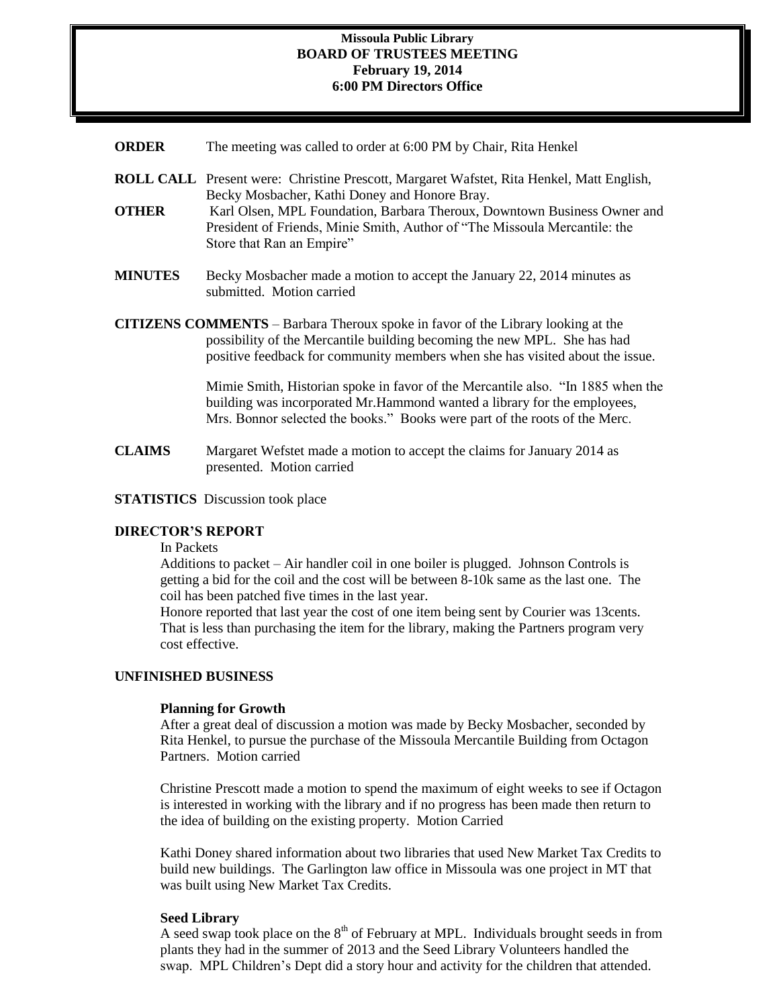### **Missoula Public Library BOARD OF TRUSTEES MEETING February 19, 2014 6:00 PM Directors Office**

- **ORDER** The meeting was called to order at 6:00 PM by Chair, Rita Henkel
- **ROLL CALL** Present were: Christine Prescott, Margaret Wafstet, Rita Henkel, Matt English, Becky Mosbacher, Kathi Doney and Honore Bray.
- **OTHER** Karl Olsen, MPL Foundation, Barbara Theroux, Downtown Business Owner and President of Friends, Minie Smith, Author of "The Missoula Mercantile: the Store that Ran an Empire"
- **MINUTES** Becky Mosbacher made a motion to accept the January 22, 2014 minutes as submitted. Motion carried
- **CITIZENS COMMENTS**  Barbara Theroux spoke in favor of the Library looking at the possibility of the Mercantile building becoming the new MPL. She has had positive feedback for community members when she has visited about the issue.

Mimie Smith, Historian spoke in favor of the Mercantile also. "In 1885 when the building was incorporated Mr.Hammond wanted a library for the employees, Mrs. Bonnor selected the books." Books were part of the roots of the Merc.

- **CLAIMS** Margaret Wefstet made a motion to accept the claims for January 2014 as presented. Motion carried
- **STATISTICS** Discussion took place

## **DIRECTOR'S REPORT**

In Packets

Additions to packet – Air handler coil in one boiler is plugged. Johnson Controls is getting a bid for the coil and the cost will be between 8-10k same as the last one. The coil has been patched five times in the last year.

Honore reported that last year the cost of one item being sent by Courier was 13cents. That is less than purchasing the item for the library, making the Partners program very cost effective.

### **UNFINISHED BUSINESS**

#### **Planning for Growth**

After a great deal of discussion a motion was made by Becky Mosbacher, seconded by Rita Henkel, to pursue the purchase of the Missoula Mercantile Building from Octagon Partners. Motion carried

Christine Prescott made a motion to spend the maximum of eight weeks to see if Octagon is interested in working with the library and if no progress has been made then return to the idea of building on the existing property. Motion Carried

Kathi Doney shared information about two libraries that used New Market Tax Credits to build new buildings. The Garlington law office in Missoula was one project in MT that was built using New Market Tax Credits.

#### **Seed Library**

A seed swap took place on the  $8<sup>th</sup>$  of February at MPL. Individuals brought seeds in from plants they had in the summer of 2013 and the Seed Library Volunteers handled the swap. MPL Children's Dept did a story hour and activity for the children that attended.